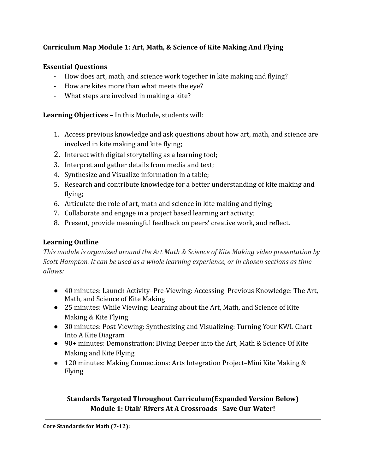# **Curriculum Map Module 1: Art, Math, & Science of Kite Making And Flying**

# **Essential Questions**

- How does art, math, and science work together in kite making and flying?
- How are kites more than what meets the eye?
- What steps are involved in making a kite?

**Learning Objectives –** In this Module, students will:

- 1. Access previous knowledge and ask questions about how art, math, and science are involved in kite making and kite flying;
- 2. Interact with digital storytelling as a learning tool;
- 3. Interpret and gather details from media and text;
- 4. Synthesize and Visualize information in a table;
- 5. Research and contribute knowledge for a better understanding of kite making and flying;
- 6. Articulate the role of art, math and science in kite making and flying;
- 7. Collaborate and engage in a project based learning art activity;
- 8. Present, provide meaningful feedback on peers' creative work, and reflect.

# **Learning Outline**

*This module is organized around the Art Math & Science of Kite Making video presentation by Scott Hampton. It can be used as a whole learning experience, or in chosen sections as time allows:*

- 40 minutes: Launch Activity–Pre-Viewing: Accessing Previous Knowledge: The Art, Math, and Science of Kite Making
- 25 minutes: While Viewing: Learning about the Art, Math, and Science of Kite Making & Kite Flying
- 30 minutes: Post-Viewing: Synthesizing and Visualizing: Turning Your KWL Chart Into A Kite Diagram
- 90+ minutes: Demonstration: Diving Deeper into the Art, Math & Science Of Kite Making and Kite Flying
- 120 minutes: Making Connections: Arts Integration Project–Mini Kite Making & Flying

# **Standards Targeted Throughout Curriculum(Expanded Version Below) Module 1: Utah' Rivers At A Crossroads– Save Our Water!**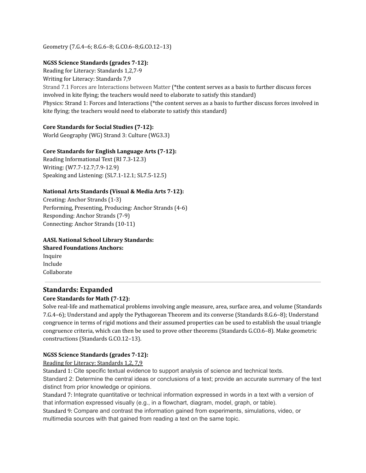Geometry (7.G.4–6; 8.G.6–8; G.CO.6–8;G.CO.12–13)

### **NGSS Science Standards (grades 7-12):**

Reading for Literacy: Standards 1,2,7-9

Writing for Literacy: Standards 7,9

Strand 7.1 Forces are Interactions between Matter (\*the content serves as a basis to further discuss forces involved in kite flying; the teachers would need to elaborate to satisfy this standard) Physics: Strand 1: Forces and Interactions (\*the content serves as a basis to further discuss forces involved in kite flying; the teachers would need to elaborate to satisfy this standard)

## **Core Standards for Social Studies (7-12):**

World Geography (WG) Strand 3: Culture (WG3.3)

## **Core Standards for English Language Arts (7-12):**

Reading Informational Text (RI 7.3-12.3) Writing: (W7.7-12.7;7.9-12.9) Speaking and Listening: (SL7.1-12.1; SL7.5-12.5)

## **National Arts Standards (Visual & Media Arts 7-12):**

Creating: Anchor Strands (1-3) Performing, Presenting, Producing: Anchor Strands (4-6) Responding: Anchor Strands (7-9) Connecting: Anchor Strands (10-11)

**AASL National School Library Standards: Shared Foundations Anchors:** Inquire Include Collaborate

## **Standards: Expanded Core Standards for Math (7-12):**

Solve real-life and mathematical problems involving angle measure, area, surface area, and volume (Standards 7.G.4–6); Understand and apply the Pythagorean Theorem and its converse (Standards 8.G.6–8); Understand congruence in terms of rigid motions and their assumed properties can be used to establish the usual triangle congruence criteria, which can then be used to prove other theorems (Standards G.CO.6–8). Make geometric constructions (Standards G.CO.12–13).

### **NGSS Science Standards (grades 7-12):**

### Reading for Literacy: Standards 1,2, 7,9

Standard 1: Cite specific textual evidence to support analysis of science and technical texts. Standard 2: Determine the central ideas or conclusions of a text; provide an accurate summary of the text distinct from prior knowledge or opinions.

Standard 7: Integrate quantitative or technical information expressed in words in a text with a version of that information expressed visually (e.g., in a flowchart, diagram, model, graph, or table).

Standard 9: Compare and contrast the information gained from experiments, simulations, video, or multimedia sources with that gained from reading a text on the same topic.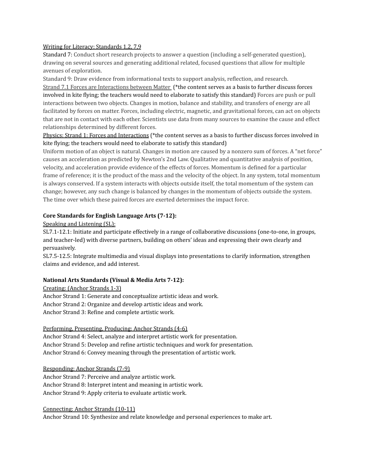#### Writing for Literacy: Standards 1,2, 7,9

Standard 7: Conduct short research projects to answer a question (including a self-generated question), drawing on several sources and generating additional related, focused questions that allow for multiple avenues of exploration.

Standard 9: Draw evidence from informational texts to support analysis, reflection, and research. Strand 7.1 Forces are Interactions between Matter (\*the content serves as a basis to further discuss forces involved in kite flying; the teachers would need to elaborate to satisfy this standard) Forces are push or pull interactions between two objects. Changes in motion, balance and stability, and transfers of energy are all facilitated by forces on matter. Forces, including electric, magnetic, and gravitational forces, can act on objects that are not in contact with each other. Scientists use data from many sources to examine the cause and effect relationships determined by different forces.

Physics: Strand 1: Forces and Interactions (\*the content serves as a basis to further discuss forces involved in kite flying; the teachers would need to elaborate to satisfy this standard)

Uniform motion of an object is natural. Changes in motion are caused by a nonzero sum of forces. A "net force" causes an acceleration as predicted by Newton's 2nd Law. Qualitative and quantitative analysis of position, velocity, and acceleration provide evidence of the effects of forces. Momentum is defined for a particular frame of reference; it is the product of the mass and the velocity of the object. In any system, total momentum is always conserved. If a system interacts with objects outside itself, the total momentum of the system can change; however, any such change is balanced by changes in the momentum of objects outside the system. The time over which these paired forces are exerted determines the impact force.

### **Core Standards for English Language Arts (7-12):**

### Speaking and Listening (SL):

SL7.1-12.1: Initiate and participate effectively in a range of collaborative discussions (one-to-one, in groups, and teacher-led) with diverse partners, building on others' ideas and expressing their own clearly and persuasively.

SL7.5-12.5: Integrate multimedia and visual displays into presentations to clarify information, strengthen claims and evidence, and add interest.

### **National Arts Standards (Visual & Media Arts 7-12):**

### Creating: (Anchor Strands 1-3)

Anchor Strand 1: Generate and conceptualize artistic ideas and work. Anchor Strand 2: Organize and develop artistic ideas and work. Anchor Strand 3: Refine and complete artistic work.

### Performing, Presenting, Producing: Anchor Strands (4-6)

Anchor Strand 4: Select, analyze and interpret artistic work for presentation. Anchor Strand 5: Develop and refine artistic techniques and work for presentation. Anchor Strand 6: Convey meaning through the presentation of artistic work.

#### Responding: Anchor Strands (7-9)

Anchor Strand 7: Perceive and analyze artistic work. Anchor Strand 8: Interpret intent and meaning in artistic work. Anchor Strand 9: Apply criteria to evaluate artistic work.

#### Connecting: Anchor Strands (10-11)

Anchor Strand 10: Synthesize and relate knowledge and personal experiences to make art.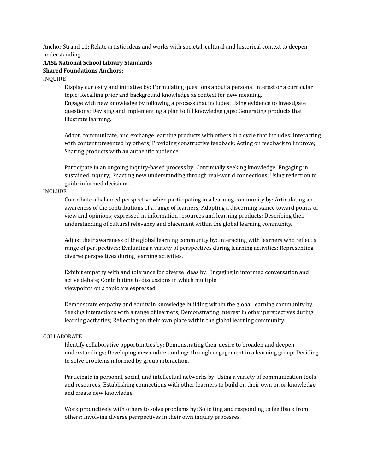Anchor Strand 11: Relate artistic ideas and works with societal, cultural and historical context to deepen understanding.

## **AASL National School Library Standards Shared Foundations Anchors:**

#### INQUIRE

Display curiosity and initiative by: Formulating questions about a personal interest or a curricular topic; Recalling prior and background knowledge as context for new meaning. Engage with new knowledge by following a process that includes: Using evidence to investigate questions; Devising and implementing a plan to fill knowledge gaps; Generating products that illustrate learning.

Adapt, communicate, and exchange learning products with others in a cycle that includes: Interacting with content presented by others; Providing constructive feedback; Acting on feedback to improve; Sharing products with an authentic audience.

Participate in an ongoing inquiry-based process by: Continually seeking knowledge; Engaging in sustained inquiry; Enacting new understanding through real-world connections; Using reflection to guide informed decisions.

#### INCLUDE

Contribute a balanced perspective when participating in a learning community by: Articulating an awareness of the contributions of a range of learners; Adopting a discerning stance toward points of view and opinions; expressed in information resources and learning products; Describing their understanding of cultural relevancy and placement within the global learning community.

Adjust their awareness of the global learning community by: Interacting with learners who reflect a range of perspectives; Evaluating a variety of perspectives during learning activities; Representing diverse perspectives during learning activities.

Exhibit empathy with and tolerance for diverse ideas by: Engaging in informed conversation and active debate; Contributing to discussions in which multiple viewpoints on a topic are expressed.

Demonstrate empathy and equity in knowledge building within the global learning community by: Seeking interactions with a range of learners; Demonstrating interest in other perspectives during learning activities; Reflecting on their own place within the global learning community.

#### COLLABORATE

Identify collaborative opportunities by: Demonstrating their desire to broaden and deepen understandings; Developing new understandings through engagement in a learning group; Deciding to solve problems informed by group interaction.

Participate in personal, social, and intellectual networks by: Using a variety of communication tools and resources; Establishing connections with other learners to build on their own prior knowledge and create new knowledge.

Work productively with others to solve problems by: Soliciting and responding to feedback from others; Involving diverse perspectives in their own inquiry processes.